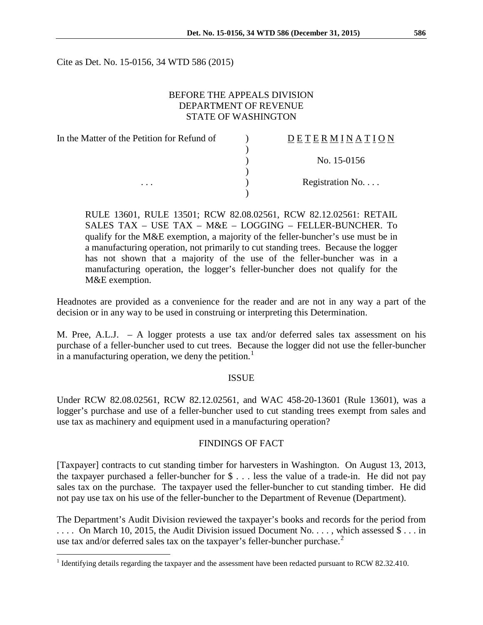Cite as Det. No. 15-0156, 34 WTD 586 (2015)

## BEFORE THE APPEALS DIVISION DEPARTMENT OF REVENUE STATE OF WASHINGTON

| In the Matter of the Petition for Refund of | DETERMINATION   |
|---------------------------------------------|-----------------|
|                                             |                 |
|                                             | No. 15-0156     |
|                                             |                 |
| $\cdots$                                    | Registration No |
|                                             |                 |

RULE 13601, RULE 13501; RCW 82.08.02561, RCW 82.12.02561: RETAIL SALES TAX – USE TAX – M&E – LOGGING – FELLER-BUNCHER. To qualify for the M&E exemption, a majority of the feller-buncher's use must be in a manufacturing operation, not primarily to cut standing trees. Because the logger has not shown that a majority of the use of the feller-buncher was in a manufacturing operation, the logger's feller-buncher does not qualify for the M&E exemption.

Headnotes are provided as a convenience for the reader and are not in any way a part of the decision or in any way to be used in construing or interpreting this Determination.

M. Pree, A.L.J. – A logger protests a use tax and/or deferred sales tax assessment on his purchase of a feller-buncher used to cut trees. Because the logger did not use the feller-buncher in a manufacturing operation, we deny the petition.<sup>[1](#page-0-0)</sup>

## ISSUE

Under RCW 82.08.02561, RCW 82.12.02561, and WAC 458-20-13601 (Rule 13601), was a logger's purchase and use of a feller-buncher used to cut standing trees exempt from sales and use tax as machinery and equipment used in a manufacturing operation?

## FINDINGS OF FACT

[Taxpayer] contracts to cut standing timber for harvesters in Washington. On August 13, 2013, the taxpayer purchased a feller-buncher for \$ . . . less the value of a trade-in. He did not pay sales tax on the purchase. The taxpayer used the feller-buncher to cut standing timber. He did not pay use tax on his use of the feller-buncher to the Department of Revenue (Department).

The Department's Audit Division reviewed the taxpayer's books and records for the period from .... On March 10, 2015, the Audit Division issued Document No..., which assessed  $\$\dots$  in use tax and/or deferred sales tax on the taxpayer's feller-buncher purchase. $^2$  $^2$ 

<span id="page-0-1"></span><span id="page-0-0"></span><sup>&</sup>lt;sup>1</sup> Identifying details regarding the taxpayer and the assessment have been redacted pursuant to RCW 82.32.410.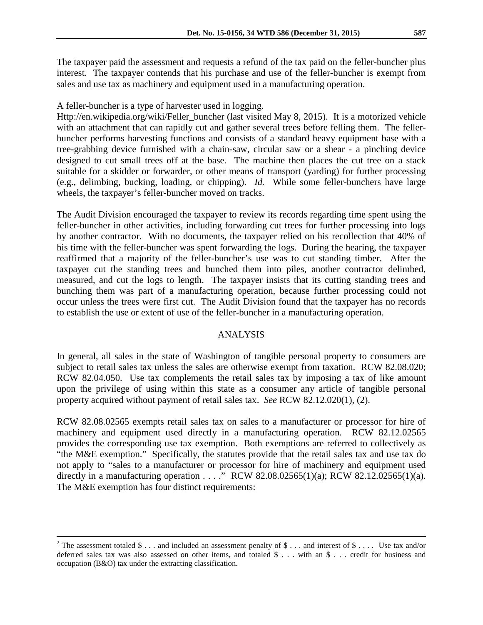The taxpayer paid the assessment and requests a refund of the tax paid on the feller-buncher plus interest. The taxpayer contends that his purchase and use of the feller-buncher is exempt from sales and use tax as machinery and equipment used in a manufacturing operation.

A feller-buncher is a type of harvester used in logging.

Http://en.wikipedia.org/wiki/Feller\_buncher (last visited May 8, 2015). It is a motorized vehicle with an attachment that can rapidly cut and gather several trees before felling them. The fellerbuncher performs harvesting functions and consists of a standard heavy equipment base with a tree-grabbing device furnished with a chain-saw, circular saw or a shear - a pinching device designed to cut small trees off at the base. The machine then places the cut tree on a stack suitable for a skidder or forwarder, or other means of transport (yarding) for further processing (e.g., delimbing, bucking, loading, or chipping). *Id.* While some feller-bunchers have large wheels, the taxpayer's feller-buncher moved on tracks.

The Audit Division encouraged the taxpayer to review its records regarding time spent using the feller-buncher in other activities, including forwarding cut trees for further processing into logs by another contractor. With no documents, the taxpayer relied on his recollection that 40% of his time with the feller-buncher was spent forwarding the logs. During the hearing, the taxpayer reaffirmed that a majority of the feller-buncher's use was to cut standing timber. After the taxpayer cut the standing trees and bunched them into piles, another contractor delimbed, measured, and cut the logs to length. The taxpayer insists that its cutting standing trees and bunching them was part of a manufacturing operation, because further processing could not occur unless the trees were first cut. The Audit Division found that the taxpayer has no records to establish the use or extent of use of the feller-buncher in a manufacturing operation.

# ANALYSIS

In general, all sales in the state of Washington of tangible personal property to consumers are subject to retail sales tax unless the sales are otherwise exempt from taxation. RCW 82.08.020; RCW 82.04.050. Use tax complements the retail sales tax by imposing a tax of like amount upon the privilege of using within this state as a consumer any article of tangible personal property acquired without payment of retail sales tax. *See* RCW 82.12.020(1), (2).

RCW 82.08.02565 exempts retail sales tax on sales to a manufacturer or processor for hire of machinery and equipment used directly in a manufacturing operation. RCW 82.12.02565 provides the corresponding use tax exemption. Both exemptions are referred to collectively as "the M&E exemption." Specifically, the statutes provide that the retail sales tax and use tax do not apply to "sales to a manufacturer or processor for hire of machinery and equipment used directly in a manufacturing operation . . . ." RCW 82.08.02565(1)(a); RCW 82.12.02565(1)(a). The M&E exemption has four distinct requirements:

<sup>&</sup>lt;sup>2</sup> The assessment totaled  $\frac{1}{2}$ ... and included an assessment penalty of  $\frac{1}{2}$ ... and interest of  $\frac{1}{2}$ .... Use tax and/or deferred sales tax was also assessed on other items, and totaled \$ . . . with an \$ . . . credit for business and occupation (B&O) tax under the extracting classification.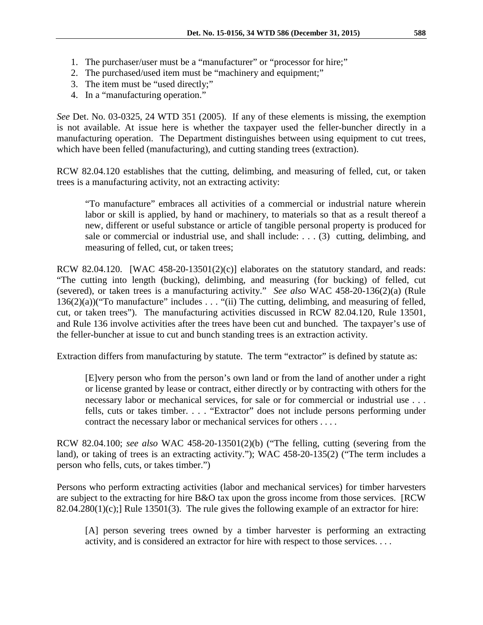- 1. The purchaser/user must be a "manufacturer" or "processor for hire;"
- 2. The purchased/used item must be "machinery and equipment;"
- 3. The item must be "used directly;"
- 4. In a "manufacturing operation."

*See* Det. No. 03-0325, 24 WTD 351 (2005). If any of these elements is missing, the exemption is not available. At issue here is whether the taxpayer used the feller-buncher directly in a manufacturing operation. The Department distinguishes between using equipment to cut trees, which have been felled (manufacturing), and cutting standing trees (extraction).

RCW 82.04.120 establishes that the cutting, delimbing, and measuring of felled, cut, or taken trees is a manufacturing activity, not an extracting activity:

"To manufacture" embraces all activities of a commercial or industrial nature wherein labor or skill is applied, by hand or machinery, to materials so that as a result thereof a new, different or useful substance or article of tangible personal property is produced for sale or commercial or industrial use, and shall include: . . . (3) cutting, delimbing, and measuring of felled, cut, or taken trees;

RCW 82.04.120. [WAC 458-20-13501(2)(c)] elaborates on the statutory standard, and reads: "The cutting into length (bucking), delimbing, and measuring (for bucking) of felled, cut (severed), or taken trees is a manufacturing activity." *See also* WAC 458-20-136(2)(a) (Rule  $136(2)(a)$ ("To manufacture" includes . . . "(ii) The cutting, delimbing, and measuring of felled, cut, or taken trees"). The manufacturing activities discussed in RCW 82.04.120, Rule 13501, and Rule 136 involve activities after the trees have been cut and bunched. The taxpayer's use of the feller-buncher at issue to cut and bunch standing trees is an extraction activity.

Extraction differs from manufacturing by statute. The term "extractor" is defined by statute as:

[E]very person who from the person's own land or from the land of another under a right or license granted by lease or contract, either directly or by contracting with others for the necessary labor or mechanical services, for sale or for commercial or industrial use . . . fells, cuts or takes timber. . . . "Extractor" does not include persons performing under contract the necessary labor or mechanical services for others . . . .

RCW 82.04.100; *see also* WAC 458-20-13501(2)(b) ("The felling, cutting (severing from the land), or taking of trees is an extracting activity."); WAC 458-20-135(2) ("The term includes a person who fells, cuts, or takes timber.")

Persons who perform extracting activities (labor and mechanical services) for timber harvesters are subject to the extracting for hire B&O tax upon the gross income from those services. [RCW 82.04.280(1)(c);] Rule 13501(3). The rule gives the following example of an extractor for hire:

[A] person severing trees owned by a timber harvester is performing an extracting activity, and is considered an extractor for hire with respect to those services. . . .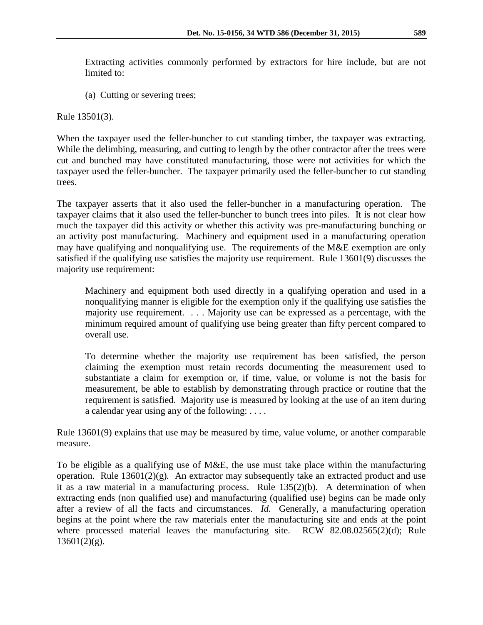Extracting activities commonly performed by extractors for hire include, but are not limited to:

(a) Cutting or severing trees;

Rule 13501(3).

When the taxpayer used the feller-buncher to cut standing timber, the taxpayer was extracting. While the delimbing, measuring, and cutting to length by the other contractor after the trees were cut and bunched may have constituted manufacturing, those were not activities for which the taxpayer used the feller-buncher. The taxpayer primarily used the feller-buncher to cut standing trees.

The taxpayer asserts that it also used the feller-buncher in a manufacturing operation. The taxpayer claims that it also used the feller-buncher to bunch trees into piles. It is not clear how much the taxpayer did this activity or whether this activity was pre-manufacturing bunching or an activity post manufacturing. Machinery and equipment used in a manufacturing operation may have qualifying and nonqualifying use. The requirements of the M&E exemption are only satisfied if the qualifying use satisfies the majority use requirement. Rule 13601(9) discusses the majority use requirement:

Machinery and equipment both used directly in a qualifying operation and used in a nonqualifying manner is eligible for the exemption only if the qualifying use satisfies the majority use requirement. . . . Majority use can be expressed as a percentage, with the minimum required amount of qualifying use being greater than fifty percent compared to overall use.

To determine whether the majority use requirement has been satisfied, the person claiming the exemption must retain records documenting the measurement used to substantiate a claim for exemption or, if time, value, or volume is not the basis for measurement, be able to establish by demonstrating through practice or routine that the requirement is satisfied. Majority use is measured by looking at the use of an item during a calendar year using any of the following: . . . .

Rule 13601(9) explains that use may be measured by time, value volume, or another comparable measure.

To be eligible as a qualifying use of M&E, the use must take place within the manufacturing operation. Rule 13601(2)(g)*.* An extractor may subsequently take an extracted product and use it as a raw material in a manufacturing process. Rule 135(2)(b). A determination of when extracting ends (non qualified use) and manufacturing (qualified use) begins can be made only after a review of all the facts and circumstances. *Id.* Generally, a manufacturing operation begins at the point where the raw materials enter the manufacturing site and ends at the point where processed material leaves the manufacturing site. RCW 82.08.02565(2)(d); Rule  $13601(2)(g)$ .